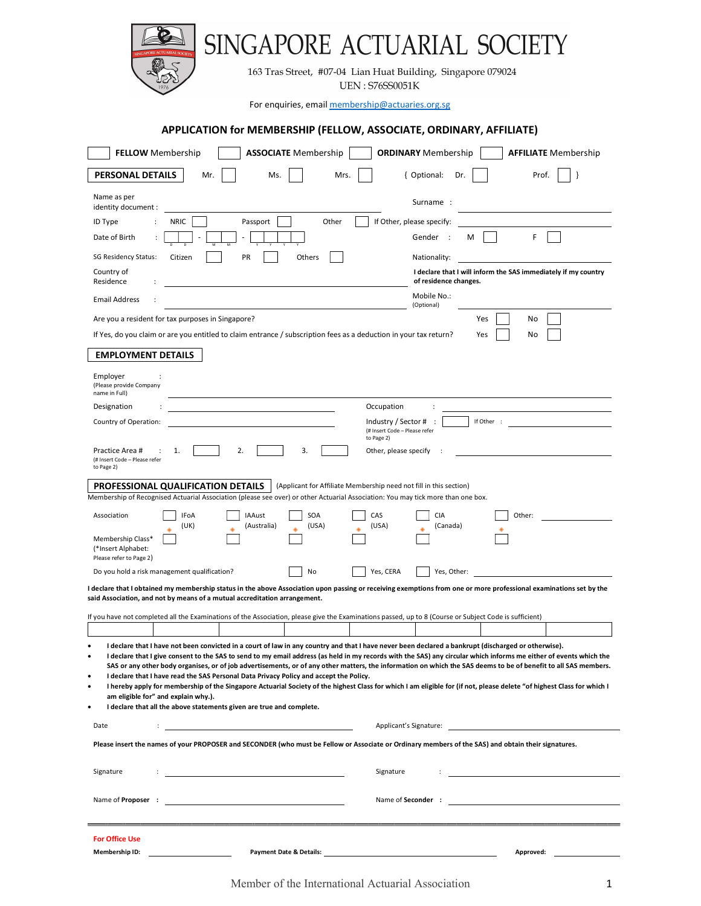| INGAPORE ACTUARIAL SOCIE                                                                                                                                                                                                                                                                                                                                                                                                                                                                                                                                                                                                                                                                                                                                                                                                                                                                                                    |                                                                                         |  |  |  |  |  |  |
|-----------------------------------------------------------------------------------------------------------------------------------------------------------------------------------------------------------------------------------------------------------------------------------------------------------------------------------------------------------------------------------------------------------------------------------------------------------------------------------------------------------------------------------------------------------------------------------------------------------------------------------------------------------------------------------------------------------------------------------------------------------------------------------------------------------------------------------------------------------------------------------------------------------------------------|-----------------------------------------------------------------------------------------|--|--|--|--|--|--|
| 163 Tras Street, #07-04 Lian Huat Building, Singapore 079024<br><b>UEN: S76SS0051K</b>                                                                                                                                                                                                                                                                                                                                                                                                                                                                                                                                                                                                                                                                                                                                                                                                                                      |                                                                                         |  |  |  |  |  |  |
|                                                                                                                                                                                                                                                                                                                                                                                                                                                                                                                                                                                                                                                                                                                                                                                                                                                                                                                             | For enquiries, email membership@actuaries.org.sg                                        |  |  |  |  |  |  |
| APPLICATION for MEMBERSHIP (FELLOW, ASSOCIATE, ORDINARY, AFFILIATE)                                                                                                                                                                                                                                                                                                                                                                                                                                                                                                                                                                                                                                                                                                                                                                                                                                                         |                                                                                         |  |  |  |  |  |  |
| <b>FELLOW</b> Membership<br><b>ASSOCIATE</b> Membership                                                                                                                                                                                                                                                                                                                                                                                                                                                                                                                                                                                                                                                                                                                                                                                                                                                                     | <b>ORDINARY</b> Membership<br><b>AFFILIATE</b> Membership                               |  |  |  |  |  |  |
| PERSONAL DETAILS<br>Mr.<br>Ms.<br>Mrs.                                                                                                                                                                                                                                                                                                                                                                                                                                                                                                                                                                                                                                                                                                                                                                                                                                                                                      | { Optional:<br>Dr.<br>Prof.<br>}                                                        |  |  |  |  |  |  |
| Name as per                                                                                                                                                                                                                                                                                                                                                                                                                                                                                                                                                                                                                                                                                                                                                                                                                                                                                                                 |                                                                                         |  |  |  |  |  |  |
| identity document :<br><b>NRIC</b><br>Other<br>ID Type<br>Passport                                                                                                                                                                                                                                                                                                                                                                                                                                                                                                                                                                                                                                                                                                                                                                                                                                                          | Surname:<br>If Other, please specify:                                                   |  |  |  |  |  |  |
| Date of Birth                                                                                                                                                                                                                                                                                                                                                                                                                                                                                                                                                                                                                                                                                                                                                                                                                                                                                                               | F<br>Gender :<br>м                                                                      |  |  |  |  |  |  |
| PR<br><b>SG Residency Status:</b><br>Citizen<br>Others                                                                                                                                                                                                                                                                                                                                                                                                                                                                                                                                                                                                                                                                                                                                                                                                                                                                      | Nationality:                                                                            |  |  |  |  |  |  |
| Country of<br>Residence                                                                                                                                                                                                                                                                                                                                                                                                                                                                                                                                                                                                                                                                                                                                                                                                                                                                                                     | I declare that I will inform the SAS immediately if my country<br>of residence changes. |  |  |  |  |  |  |
| <b>Email Address</b>                                                                                                                                                                                                                                                                                                                                                                                                                                                                                                                                                                                                                                                                                                                                                                                                                                                                                                        | Mobile No.:<br>(Optional)                                                               |  |  |  |  |  |  |
| Are you a resident for tax purposes in Singapore?                                                                                                                                                                                                                                                                                                                                                                                                                                                                                                                                                                                                                                                                                                                                                                                                                                                                           | Yes<br>No                                                                               |  |  |  |  |  |  |
| If Yes, do you claim or are you entitled to claim entrance / subscription fees as a deduction in your tax return?                                                                                                                                                                                                                                                                                                                                                                                                                                                                                                                                                                                                                                                                                                                                                                                                           | Yes<br>No                                                                               |  |  |  |  |  |  |
| <b>EMPLOYMENT DETAILS</b>                                                                                                                                                                                                                                                                                                                                                                                                                                                                                                                                                                                                                                                                                                                                                                                                                                                                                                   |                                                                                         |  |  |  |  |  |  |
| Employer<br>(Please provide Company<br>name in Full)                                                                                                                                                                                                                                                                                                                                                                                                                                                                                                                                                                                                                                                                                                                                                                                                                                                                        |                                                                                         |  |  |  |  |  |  |
| Designation<br>Occupation                                                                                                                                                                                                                                                                                                                                                                                                                                                                                                                                                                                                                                                                                                                                                                                                                                                                                                   |                                                                                         |  |  |  |  |  |  |
| Country of Operation:<br>Industry / Sector #<br>(# Insert Code - Please refer                                                                                                                                                                                                                                                                                                                                                                                                                                                                                                                                                                                                                                                                                                                                                                                                                                               | If Other :                                                                              |  |  |  |  |  |  |
| to Page 2)<br>2.<br>3.<br>Practice Area #<br>1.<br>Other, please specify<br>(# Insert Code - Please refer<br>to Page 2)                                                                                                                                                                                                                                                                                                                                                                                                                                                                                                                                                                                                                                                                                                                                                                                                     |                                                                                         |  |  |  |  |  |  |
| PROFESSIONAL QUALIFICATION DETAILS<br>(Applicant for Affiliate Membership need not fill in this section)<br>Membership of Recognised Actuarial Association (please see over) or other Actuarial Association: You may tick more than one box.                                                                                                                                                                                                                                                                                                                                                                                                                                                                                                                                                                                                                                                                                |                                                                                         |  |  |  |  |  |  |
| SOA<br>CAS<br>Association<br>IFoA<br><b>IAAust</b>                                                                                                                                                                                                                                                                                                                                                                                                                                                                                                                                                                                                                                                                                                                                                                                                                                                                          | <b>CIA</b><br>Other:                                                                    |  |  |  |  |  |  |
| (UK)<br>(USA)<br>(USA)<br>(Australia)<br>Membership Class*<br>(*Insert Alphabet:<br>Please refer to Page 2)                                                                                                                                                                                                                                                                                                                                                                                                                                                                                                                                                                                                                                                                                                                                                                                                                 | (Canada)                                                                                |  |  |  |  |  |  |
| Do you hold a risk management qualification?<br>Yes, CERA<br>No                                                                                                                                                                                                                                                                                                                                                                                                                                                                                                                                                                                                                                                                                                                                                                                                                                                             | Yes, Other:                                                                             |  |  |  |  |  |  |
| I declare that I obtained my membership status in the above Association upon passing or receiving exemptions from one or more professional examinations set by the<br>said Association, and not by means of a mutual accreditation arrangement.                                                                                                                                                                                                                                                                                                                                                                                                                                                                                                                                                                                                                                                                             |                                                                                         |  |  |  |  |  |  |
| If you have not completed all the Examinations of the Association, please give the Examinations passed, up to 8 (Course or Subject Code is sufficient)                                                                                                                                                                                                                                                                                                                                                                                                                                                                                                                                                                                                                                                                                                                                                                      |                                                                                         |  |  |  |  |  |  |
| I declare that I have not been convicted in a court of law in any country and that I have never been declared a bankrupt (discharged or otherwise).<br>٠<br>I declare that I give consent to the SAS to send to my email address (as held in my records with the SAS) any circular which informs me either of events which the<br>$\bullet$<br>SAS or any other body organises, or of job advertisements, or of any other matters, the information on which the SAS deems to be of benefit to all SAS members.<br>I declare that I have read the SAS Personal Data Privacy Policy and accept the Policy.<br>$\bullet$<br>I hereby apply for membership of the Singapore Actuarial Society of the highest Class for which I am eligible for (if not, please delete "of highest Class for which I<br>$\bullet$<br>am eligible for" and explain why.).<br>I declare that all the above statements given are true and complete. |                                                                                         |  |  |  |  |  |  |
| Date                                                                                                                                                                                                                                                                                                                                                                                                                                                                                                                                                                                                                                                                                                                                                                                                                                                                                                                        | Applicant's Signature: Applicant's Signature:                                           |  |  |  |  |  |  |
| Please insert the names of your PROPOSER and SECONDER (who must be Fellow or Associate or Ordinary members of the SAS) and obtain their signatures.                                                                                                                                                                                                                                                                                                                                                                                                                                                                                                                                                                                                                                                                                                                                                                         |                                                                                         |  |  |  |  |  |  |
| Signature<br>Signature                                                                                                                                                                                                                                                                                                                                                                                                                                                                                                                                                                                                                                                                                                                                                                                                                                                                                                      |                                                                                         |  |  |  |  |  |  |
| Name of <b>Proposer</b> :                                                                                                                                                                                                                                                                                                                                                                                                                                                                                                                                                                                                                                                                                                                                                                                                                                                                                                   | Name of Seconder :                                                                      |  |  |  |  |  |  |
|                                                                                                                                                                                                                                                                                                                                                                                                                                                                                                                                                                                                                                                                                                                                                                                                                                                                                                                             |                                                                                         |  |  |  |  |  |  |
| <b>For Office Use</b><br>Membership ID:                                                                                                                                                                                                                                                                                                                                                                                                                                                                                                                                                                                                                                                                                                                                                                                                                                                                                     | Approved:                                                                               |  |  |  |  |  |  |